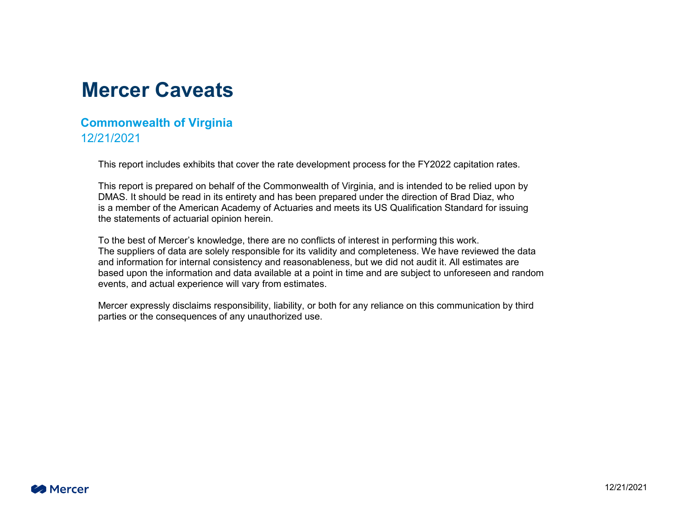#### **Mercer Caveats**

#### **Commonwealth of Virginia** 12/21/2021

This report includes exhibits that cover the rate development process for the FY2022 capitation rates.

This report is prepared on behalf of the Commonwealth of Virginia, and is intended to be relied upon by DMAS. It should be read in its entirety and has been prepared under the direction of Brad Diaz, who is a member of the American Academy of Actuaries and meets its US Qualification Standard for issuing the statements of actuarial opinion herein.

To the best of Mercer's knowledge, there are no conflicts of interest in performing this work. The suppliers of data are solely responsible for its validity and completeness. We have reviewed the data and information for internal consistency and reasonableness, but we did not audit it. All estimates are based upon the information and data available at a point in time and are subject to unforeseen and random events, and actual experience will vary from estimates.

Mercer expressly disclaims responsibility, liability, or both for any reliance on this communication by third parties or the consequences of any unauthorized use.

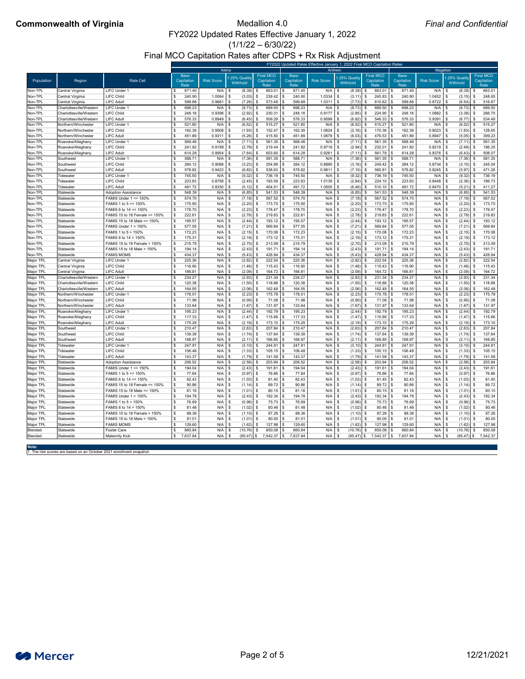$(1/1/22 - 6/30/22)$ 

Final MCO Capitation Rates after CDPS + Rx Risk Adjustment

## **Commonwealth of Virginia** Medallion 4.0

|                        |                                        |                                                            |                                   | FY2022 Updated Rates Effective January 1, 2022 Final MCO Capitation Rates |                             |                                        |                                     |                   |                             |                                        |                                   |                   |                           |                                        |
|------------------------|----------------------------------------|------------------------------------------------------------|-----------------------------------|---------------------------------------------------------------------------|-----------------------------|----------------------------------------|-------------------------------------|-------------------|-----------------------------|----------------------------------------|-----------------------------------|-------------------|---------------------------|----------------------------------------|
|                        |                                        |                                                            |                                   | Aetna                                                                     |                             |                                        |                                     | Anthem            |                             |                                        |                                   | Magellan          |                           |                                        |
| Population             | Region                                 | <b>Rate Cell</b>                                           | <b>Base</b><br>Capitation<br>Rate | <b>Risk Score</b>                                                         | .25% Quality<br>Withhold    | <b>Final MCO</b><br>Capitation<br>Rate | <b>Base</b><br>Capitation<br>Rate   | <b>Risk Score</b> | .25% Quality<br>Withhold    | <b>Final MCO</b><br>Capitation<br>Rate | <b>Base</b><br>Capitation<br>Rate | <b>Risk Score</b> | .25% Quality<br>Withhold  | <b>Final MCO</b><br>Capitation<br>Rate |
| Non-TPL                | Central Virginia                       | LIFC Under 1                                               | 671.40                            | N/A                                                                       | $(8.39)$ \$                 | 663.01                                 | 671.40                              | N/A               | (8.39)                      | 663.01                                 | 671.40                            | N/A               | (8.39)                    | 663.01                                 |
| Non-TPL                | Central Virginia                       | <b>LIFC Child</b>                                          | 240.90                            | 1.0064                                                                    | $(3.03)$ \$                 | 239.42                                 | 240.90                              | 1.0334            | $(3.11)$ \$                 | 245.83                                 | 240.90                            | 1.0452            | (3.15)<br>- \$            | 248.65                                 |
| Non-TPL                | Central Virginia                       | <b>LIFC Adult</b>                                          | 599.88                            | 0.9681                                                                    | (7.26)                      | 573.48                                 | 599.88                              | 1.0311            | $(7.73)$ \$                 | 610.82                                 | 599.88                            | 0.8722            | (6.54)                    | 516.67                                 |
| Non-TPL                | Charlottesville/Wester                 | LIFC Under                                                 | 698.23                            | N/A                                                                       | (8.73)                      | 689.50                                 | 698.23                              | N/A               | $(8.73)$ \$                 | 689.50                                 | 698.23                            | N/A               | (8.73)                    | 689.50                                 |
| Non-TPL                | Charlottesville/Western                | <b>LIFC Child</b>                                          | 248.18                            | 0.9398                                                                    | (2.92)                      | 230.31                                 | 248.18                              | 0.9177            | (2.85)                      | 224.90                                 | 248.18                            | 1.0882            | (3.38)                    | 266.70                                 |
| Non-TPL                | Charlottesville/Western                | <b>LIFC Adult</b>                                          | 576.33                            | 0.8949                                                                    | (6.45)                      | 509.29<br>- \$                         | 576.33                              | 0.9599            | (6.92)                      | 546.33                                 | 576.33                            | 0.9391            | (6.77)                    | 534.49                                 |
| Non-TPL                | Northern/Winchester                    | LIFC Under                                                 | 521.80                            | N/A                                                                       | $(6.52)$ \$                 | 515.27                                 | 521.80                              | N/A               | $(6.52)$ \$                 | $515.27$ \$                            | 521.80                            | N/A               | (6.52)                    | 515.27                                 |
| Non-TPL                | Northern/Winchester                    | <b>LIFC Child</b>                                          | 162.39                            | 0.9508                                                                    | $(1.93)$ \$                 | 152.47                                 | 162.39                              | 1.0624            | $(2.16)$ \$                 | 170.36                                 | 162.39                            | 0.8023            | (1.63)                    | 128.65                                 |
| Non-TPI                | Northern/Winchester                    | <b>LIFC Adult</b>                                          | 451.89                            | 0.9311                                                                    | $(5.26)$ \$                 | 415.50                                 | 451.89                              | 1.0679            | $(6.03)$ \$                 | $476.53$ \$                            | 451.89                            | 0.8947            | (5.05)                    | 399.23                                 |
| Non-TPL                | Roanoke/Alleghany                      | LIFC Under 1                                               | 568.46                            | N/A                                                                       | $(7.11)$ \$                 | 561.35                                 | 568.46                              | N/A               | $(7.11)$ \$                 | 561.35                                 | 568.46                            | N/A               | (7.11)                    | 561.35                                 |
| Non-TPL<br>Non-TPL     | Roanoke/Alleghany<br>Roanoke/Alleghany | <b>LIFC Child</b><br><b>LIFC Adult</b>                     | 241.82<br>614.28                  | 0.9189<br>0.9954                                                          | $(2.78)$ \$<br>(7.64)       | 219.44<br>603.80<br>- \$               | 241.82<br>614.28                    | 0.9716<br>0.9261  | (2.94)<br>$(7.11)$ \$       | 232.01<br>561.78                       | 241.82<br>614.28                  | 0.8218<br>0.8376  | (2.48)<br>(6.43)          | 196.25<br>508.07                       |
| Non-TPL                | Southwest                              | LIFC Under                                                 | 588.71                            | N/A                                                                       | (7.36)                      | 581.35                                 | 588.71                              | N/A               | $(7.36)$ \$                 | 581.35                                 | 588.71                            | N/A               | (7.36)                    | 581.35                                 |
| Non-TPL                | Southwest                              | <b>LIFC Child</b>                                          | 284.12                            | 0.9088                                                                    | (3.23)                      | 254.99<br>୍ଥ ବ                         | 284.12                              | 0.8890            | (3.16)                      | 249.42                                 | 284.12                            | 0.8734            | (3.10)                    | 245.04                                 |
| Non-TPL                | Southwest                              | <b>LIFC Adult</b>                                          | 578.82                            | 0.9423                                                                    | (6.82)                      | 538.63<br>- \$                         | 578.82                              | 0.9811            | $(7.10)$ \$                 | 560.81                                 | 578.82                            | 0.8245            | (5.97)                    | 471.28                                 |
| Non-TPL                | Tidewater                              | LIFC Under                                                 | 745.50                            | N/A                                                                       | $(9.32)$ \$                 | 736.19                                 | 745.50                              | N/A               | $(9.32)$ \$                 | 736.19                                 | 745.50                            | N/A               | (9.32)                    | 736.19                                 |
| Non-TPL                | Tidewater                              | <b>LIFC Child</b>                                          | 223.83                            | 0.8758                                                                    | $(2.45)$ \$                 | 193.59                                 | 223.83                              | 1.0139            | $(2.84)$ \$                 | 224.10                                 | 223.83                            | 0.8448            | (2.36)                    | 186.73                                 |
| Non-TPI                | Tidewater                              | <b>LIFC Adult</b>                                          | 491.72                            | 0.8330                                                                    | $(5.12)$ \$                 | 404.51                                 | 491.72                              | 1.0505            | $(6.46)$ \$<br>- \$         | $510.10$ \$                            | 491.72                            | 0.8470            | (5.21)                    | 411.27                                 |
| Non-TPL                | Statewide                              | <b>Adoption Assistance</b>                                 | 548.39                            | N/A                                                                       | $(6.85)$ \$                 | 541.53                                 | 548.39                              | $N/A$ \$          | $(6.85)$ \$                 |                                        | 548.39                            | N/A               | (6.85)                    | 541.53                                 |
| Non-TPL                | Statewide                              | <b>FAMIS Under 1 &lt;= 150%</b>                            | 574.70                            | N/A                                                                       | $(7.18)$ \$                 | 567.52                                 | 574.70                              | $N/A$ \$          | $(7.18)$ \$                 | 567.52                                 | 574.70                            | N/A               | (7.18)                    | 567.52                                 |
| Non-TPL                | Statewide                              | FAMIS 1 to 5 <= 150%                                       | 175.90                            | N/A                                                                       | (2.20)                      | 173.70                                 | 175.90                              | N/A               | (2.20)                      | 173.70                                 | 175.90                            | N/A               | (2.20)                    | 173.70                                 |
| Non-TPL                | Statewide                              | FAMIS 6 to 14 <= 150%                                      | 178.70                            | N/A                                                                       | (2.23)                      | 176.47                                 | 178.70                              | N/A               | (2.23)                      | 176.47                                 | 178.70                            | N/A               | (2.23)                    | 176.47                                 |
| Non-TPL                | Statewide                              | FAMIS 15 to 18 Female <= 150%                              | 222.61                            | N/A                                                                       | (2.78)                      | 219.83                                 | 222.61                              | N/A               | (2.78)                      | 219.83                                 | 222.61                            | N/A               | (2.78)                    | 219.83                                 |
| Non-TPL                | Statewide                              | FAMIS 15 to 18 Male <= 150%                                | 195.57                            | N/A                                                                       | (2.44)                      | 193.12                                 | 195.57                              | N/A               | (2.44)                      | 193.12                                 | 195.57                            | N/A               | (2.44)                    | 193.12                                 |
| Non-TPL                | Statewide                              | <b>FAMIS Under 1 &gt; 150%</b>                             | 577.05                            | N/A                                                                       | (7.21)                      | 569.84<br>- \$                         | 577.05                              | N/A               | $(7.21)$ \$                 | 569.84                                 | 577.05                            | N/A               | (7.21)                    | 569.84                                 |
| Non-TPL                | Statewide                              | FAMIS 1 to 5 > 150%                                        | 172.23                            | N/A                                                                       | $(2.15)$ \$                 | 170.08                                 | 172.23                              | N/A               | $(2.15)$ \$                 | 170.08                                 | 172.23                            | N/A               | (2.15)                    | 170.08                                 |
| Non-TPL                | Statewide                              | FAMIS 6 to 14 > 150%                                       | 175.31                            | N/A                                                                       | $(2.19)$ \$                 | 173.12                                 | 175.31                              | N/A               | $(2.19)$ \$                 | 173.12                                 | 175.31                            | $N/A$ \$          | (2.19)                    | 173.12                                 |
| Non-TPL<br>Non-TPL     | Statewide<br>Statewide                 | FAMIS 15 to 18 Female > 150%<br>FAMIS 15 to 18 Male > 150% | 215.79<br>194.14                  | N/A<br>N/A                                                                | (2.70)<br>(2.43)            | 213.09<br>191.71                       | 215.79<br>194.14                    | N/A<br>N/A        | (2.70)<br>(2.43)            | 213.09<br>191.71                       | 215.79<br>194.14                  | N/A<br>N/A        | (2.70)<br>(2.43)          | 213.09<br>191.71                       |
| Non-TPI                | Statewide                              | <b>FAMIS MOMS</b>                                          | 434.37                            | N/A                                                                       | (5.43)                      | 428.94                                 | 434.37                              | N/A               | (5.43)                      | 428.94                                 | 434.37                            | N/A               | (5.43)                    | 428.94                                 |
| Major TPL              | <b>Central Virginia</b>                | <b>LIFC Under</b>                                          | 225.36                            | N/A                                                                       | (2.82)                      | 222.54                                 | 225.36                              | N/A               | (2.82)                      | 222.54                                 | 225.36                            | N/A               | (2.82)                    | 222.54                                 |
| Major TPL              | Central Virginia                       | <b>LIFC Child</b>                                          | 116.90                            | N/A                                                                       | (1.46)                      | 115.43<br>- \$                         | 116.90                              | N/A               | (1.46)                      | 115.43                                 | 116.90                            | N/A               | (1.46)                    | 115.43                                 |
| Major TPL              | Central Virginia                       | <b>LIFC Adult</b>                                          | 166.81                            | N/A                                                                       | (2.09)                      | 164.72                                 | 166.81                              | N/A               | (2.09)                      | 164.72                                 | 166.81                            | N/A               | (2.09)                    | 164.72                                 |
| Major TPL              | Charlottesville/Westerr                | <b>LIFC Under</b>                                          | 234.27                            | N/A                                                                       | $(2.93)$ \$                 | 231.34                                 | 234.27                              | N/A               | $(2.93)$ \$                 | 231.34                                 | 234.27                            | N/A               | (2.93)                    | 231.34                                 |
| Major TPL              | Charlottesville/Westerr                | <b>LIFC Child</b>                                          | 120.38                            | N/A                                                                       | $(1.50)$ \$                 | 118.88                                 | 120.38                              | N/A               | $(1.50)$ \$                 | 118.88                                 | 120.38                            | N/A               | (1.50)                    | 118.88                                 |
| Major TPL              | Charlottesville/Wester                 | <b>LIFC Adult</b>                                          | 164.55                            | N/A                                                                       | $(2.06)$ \$                 | 162.49                                 | 164.55                              | N/A               | $(2.06)$ \$                 | 162.49                                 | 164.55                            | N/A               | (2.06)                    | 162.49                                 |
| Major TPL              | Northern/Winchester                    | LIFC Under                                                 | 178.01                            | N/A                                                                       | (2.23)                      | 175.78                                 | 178.01                              | N/A               | (2.23)                      | 175.78                                 | 178.01                            | N/A               | (2.23)                    | 175.78                                 |
| Major TPL              | Northern/Winchester                    | <b>LIFC Child</b>                                          | 71.98                             | N/A                                                                       | (0.90)                      | 71.08                                  | 71.98                               | N/A               | (0.90)                      | 71.08                                  | 71.98                             | N/A               | (0.90)                    | 71.08                                  |
| Major TPL              | Northern/Winchester                    | <b>LIFC Adult</b>                                          | 133.64                            | N/A                                                                       | (1.67)                      | 131.97                                 | 133.64                              | N/A               | (1.67)                      | 131.97                                 | 133.64                            | N/A               | (1.67)                    | 131.97                                 |
| Major TPL              | Roanoke/Alleghany                      | LIFC Under                                                 | 195.23                            | N/A                                                                       | (2.44)                      | 192.79                                 | 195.23                              | N/A               | (2.44)                      | 192.79                                 | 195.23                            | N/A               | (2.44)                    | 192.79                                 |
| Major TPL              | Roanoke/Alleghany                      | <b>LIFC Child</b>                                          | 117.33                            | N/A                                                                       | (1.47)                      | 115.86                                 | 117.33                              | N/A               | (1.47)                      | 115.86                                 | 117.33                            | N/A               | (1.47)                    | 115.86                                 |
| <b>Major TPL</b>       | Roanoke/Alleghany                      | <b>LIFC Adult</b>                                          | 175.29                            | N/A                                                                       | (2.19)                      | 173.10                                 | 175.29                              | N/A               | $(2.19)$ \$                 | 173.10                                 | 175.29                            | N/A               | (2.19)                    | 173.10                                 |
| Major TPL<br>Major TPL | <b>Southwest</b><br>lSouthwest         | <b>LIFC Under</b><br><b>LIFC Child</b>                     | 210.47<br>139.39                  | N/A<br>N/A                                                                | $(2.63)$ \$<br>$(1.74)$ \$  | 207.84<br>137.64                       | 210.47<br>139.39                    | N/A<br>N/A        | $(2.63)$ \$<br>$(1.74)$ \$  | 207.84<br>137.64                       | 210.47<br>139.39                  | N/A<br>N/A        | (2.63)<br>(1.74)          | 207.84<br>137.64                       |
| <b>Major TPL</b>       | Southwest                              | <b>LIFC Adult</b>                                          | 168.97                            | N/A                                                                       | $(2.11)$ \$                 | 166.85                                 | 168.97                              | N/A               | $(2.11)$ \$                 | 166.85                                 | 168.97                            | N/A               | (2.11)                    | 166.85                                 |
| Major TPL              | Tidewater                              | LIFC Under                                                 | 247.91                            | N/A                                                                       | $(3.10)$ \$                 | 244.81                                 | 247.91                              | N/A               | $(3.10)$ \$                 | 244.81                                 | 247.91                            | N/A               | (3.10)                    | 244.81                                 |
| Major TPL              | Tidewater                              | <b>LIFC Child</b>                                          | 106.48                            | N/A                                                                       | (1.33)                      | 105.15                                 | 106.48                              | N/A               | (1.33)                      | 105.15                                 | 106.48                            | N/A               | (1.33)                    | 105.15                                 |
| <b>Major TPL</b>       | Tidewater                              | <b>LIFC Adult</b>                                          | 143.37                            | N/A                                                                       | (1.79)                      | 141.58                                 | 143.37                              | N/A               | (1.79)                      | 141.58                                 | 143.37                            | N/A               | (1.79)                    | 141.58                                 |
| Major TPL              | Statewide                              | <b>Adoption Assistance</b>                                 | 206.52                            | N/A                                                                       | (2.58)                      | 203.94                                 | 206.52                              | N/A               | (2.58)                      | 203.94                                 | 206.52                            | N/A               | (2.58)                    | 203.94                                 |
| Major TPL              | Statewide                              | FAMIS Under 1 <= 150%                                      | 194.04                            | N/A                                                                       | (2.43)                      | 191.61                                 | 194.04                              | N/A               | (2.43)                      | 191.61                                 | 194.04                            | N/A               | (2.43)                    | 191.61                                 |
| Major TPL              | Statewide                              | FAMIS 1 to $5 \le 150\%$                                   | 77.84                             | N/A                                                                       | (0.97)                      | 76.86                                  | 77.84                               | N/A               | (0.97)                      | 76.86                                  | 77.84                             | N/A               | (0.97)                    | 76.86                                  |
| Major TPL              | Statewide                              | FAMIS 6 to 14 <= 150%                                      | 82.43                             | N/A                                                                       | $(1.03)$ \$                 | 81.40                                  | 82.43                               | N/A               | $(1.03)$ \$                 | 81.40                                  | 82.43                             | N/A               | (1.03)                    | 81.40                                  |
| Major TPL              | Statewide                              | FAMIS 15 to 18 Female <= 150%                              | 90.86                             | N/A                                                                       | $(1.14)$ \$                 | 89.72                                  | 90.86                               | N/A               | $(1.14)$ \$                 | 89.72                                  | 90.86                             | N/A               | (1.14)                    | 89.72                                  |
| <b>Major TPL</b>       | Statewide                              | FAMIS 15 to 18 Male <= 150%                                | 81.16                             | N/A                                                                       | $(1.01)$ \$                 | 80.15                                  | 81.16                               | N/A               | $(1.01)$ \$                 | 80.15                                  | 81.16                             | N/A               | (1.01)                    | 80.15                                  |
| Major TPL              | Statewide                              | <b>FAMIS Under 1 &gt; 150%</b>                             | 194.78                            | N/A                                                                       | $(2.43)$ \$                 | 192.34                                 | 194.78                              | N/A               | (2.43)                      | 192.34                                 | 194.78                            | N/A               | (2.43)                    | 192.34                                 |
| Major TPL              | Statewide                              | FAMIS 1 to 5 > 150%                                        | 76.69                             | N/A                                                                       | (0.96)                      | 75.73                                  | 76.69                               | N/A               | (0.96)                      | 75.73                                  | 76.69                             | N/A               | (0.96)                    | 75.73                                  |
| Major TPL              | Statewide                              | FAMIS 6 to 14 > 150%                                       | 81.48                             | N/A                                                                       | (1.02)                      | 80.46                                  | 81.48                               | N/A               | $(1.02)$ \$                 | 80.46                                  | 81.48                             | N/A               | (1.02)                    | 80.46                                  |
| Major TPL              | Statewide                              | FAMIS 15 to 18 Female > 150%                               | 88.36                             | N/A                                                                       | $(1.10)$ \$                 | 87.26                                  | 88.36                               | N/A               | $(1.10)$ \$<br>IS-          | 87.26                                  | 88.36<br>IS.                      | N/A               | (1.10)                    | 87.26                                  |
| Major TPL              | Statewide<br>Statewide                 | FAMIS 15 to 18 Male > 150%<br><b>FAMIS MOMS</b>            | 81.01<br>129.60                   | N/A                                                                       | (1.01)                      | 80.00<br>- \$<br>127.98                | 81.01                               | N/A               | $(1.01)$ \$                 | 80.00<br>127.98                        | 81.01<br>129.60                   | N/A               | (1.01)                    | 80.00                                  |
| Major TPL<br>Blended   | Statewide                              | <b>Foster Care</b>                                         | 860.84                            | N/A<br>N/A                                                                | $(1.62)$ \$<br>$(10.76)$ \$ | $850.08$ \$                            | 129.60<br>860.84                    | N/A<br>$N/A$ \$   | $(1.62)$ \$<br>$(10.76)$ \$ | $850.08$ \$                            | l Si<br>860.84                    | N/A<br>N/A        | (1.62)<br>(10.76)<br>- \$ | 127.98<br>850.08                       |
| Blended                | Statewide                              | <b>Maternity Kick</b>                                      | \$7,637.84                        | $N/A$ \$                                                                  |                             |                                        | $(95.47)$ \$ 7,542.37 \ \$ 7,637.84 | $N/A$ \$          | $(95.47)$ \$                |                                        | 7,542.37 \$7,637.84               | $N/A$ \$          | $(95.47)$ \$              | 7,542.37                               |
|                        |                                        |                                                            |                                   |                                                                           |                             |                                        |                                     |                   |                             |                                        |                                   |                   |                           |                                        |

**Note:**

1. The risk scores are based on an October 2021 enrollment snapshot.

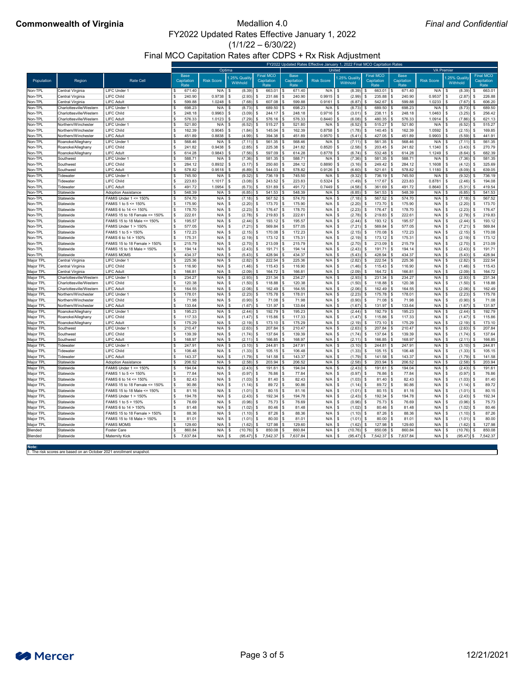$(1/1/22 - 6/30/22)$ 

Final MCO Capitation Rates after CDPS + Rx Risk Adjustment

## **Commonwealth of Virginia** Medallion 4.0

**Note:**

1. The risk scores are based on an October 2021 enrollment snapshot.



|                  |                         |                                 | FY2022 Updated Rates Effective January 1, 2022 Final MCO Capitation Rates |                   |                          |                                        |                                   |                   |                          |                                        |                                   |                   |                          |                                        |  |
|------------------|-------------------------|---------------------------------|---------------------------------------------------------------------------|-------------------|--------------------------|----------------------------------------|-----------------------------------|-------------------|--------------------------|----------------------------------------|-----------------------------------|-------------------|--------------------------|----------------------------------------|--|
|                  |                         |                                 |                                                                           | Optima            |                          |                                        |                                   | United            |                          |                                        |                                   |                   | <b>VA Premier</b>        |                                        |  |
| Population       | Region                  | <b>Rate Cell</b>                | <b>Base</b><br>Capitation<br>Rate                                         | <b>Risk Score</b> | .25% Quality<br>Withhold | <b>Final MCO</b><br>Capitation<br>Rate | <b>Base</b><br>Capitation<br>Rate | <b>Risk Score</b> | .25% Quality<br>Withhold | <b>Final MCO</b><br>Capitation<br>Rate | <b>Base</b><br>Capitation<br>Rate | <b>Risk Score</b> | .25% Quality<br>Withhold | <b>Final MCO</b><br>Capitation<br>Rate |  |
| Non-TPL          | Central Virginia        | <b>LIFC Under 1</b>             | 671.40                                                                    | N/A               | \$<br>(8.39)             | $663.01$ \ \$<br>\$                    | 671.40                            | N/A               | (8.39)<br>- \$           | $663.01$ \ \$                          | 671.40                            | N/A               | (8.39)<br>- \$           | 663.01                                 |  |
| Non-TPL          | Central Virginia        | <b>LIFC Child</b>               | 240.90<br>\$                                                              | 0.9738            | (2.93)<br>\$             | $231.66$ \$<br>-\$                     | 240.90                            | $0.9915$ \$       | (2.99)                   | 235.88                                 | 240.90                            | 0.9537            | (2.87)<br>- \$           | 226.88                                 |  |
| Non-TPL          | Central Virginia        | <b>LIFC Adult</b>               | 599.88                                                                    | 1.0248            | (7.68)<br>- \$           | $607.08$ \$<br>- \$                    | 599.88                            | 0.9161            | (6.87)<br>- \$           | 542.67                                 | 599.88                            | 1.0233            | (7.67)<br>- \$           | 606.20                                 |  |
| Non-TPL          | Charlottesville/Western | <b>LIFC Under 1</b>             | 698.23                                                                    | N/A               | (8.73)<br>\$             | 689.50 $\frac{1}{3}$                   | 698.23                            | N/A               | (8.73)<br>- \$           | 689.50                                 | 698.23                            | N/A               | (8.73)<br>- \$           | 689.50                                 |  |
| Non-TPL          | Charlottesville/Western | <b>LIFC Child</b>               | \$<br>248.18                                                              | 0.9963            | $(3.09)$ \$<br>- \$      | $244.17$ \ \$                          | 248.18                            | 0.9716            | (3.01)<br>- \$           | 238.11                                 | 248.18                            | 1.0463            | (3.25)<br>- \$           | 256.42                                 |  |
| Non-TPL          | Charlottesville/Western | <b>LIFC Adult</b>               | 576.33                                                                    | 1.0123            | $(7.29)$ \$<br>\$        | $576.16$ \$                            | 576.33                            | 0.8440            | (6.08)<br>- \$           | 480.35                                 | 576.33                            | 1.0914            | (7.86)<br>- \$           | 621.13                                 |  |
| Non-TPL          | Northern/Winchester     | <b>LIFC Under 1</b>             | 521.80                                                                    | N/A               | $(6.52)$ \$<br>\$        | $515.27$ \$                            | 521.80                            | N/A               | $(6.52)$ \$<br>- \$      | 515.27                                 | 521.80                            | $N/A$ \$          | (6.52)                   | 515.27<br>\$.                          |  |
| Non-TPL          | Northern/Winchester     | <b>LIFC Child</b>               | 162.39                                                                    | 0.9045            | - \$<br>(1.84)           | $145.04$ \$<br>- \$                    | 162.39                            | $0.8758$ \ \$     | (1.78)                   | 140.45                                 | 162.39                            | 1.0592            | (2.15)<br>- \$           | 169.85<br>\$.                          |  |
| Non-TPL          | Northern/Winchester     | <b>LIFC Adult</b>               | 451.89<br>-\$                                                             | 0.8838            | \$<br>$(4.99)$ \$        | $394.38$ \$                            | 451.89                            | $0.9570$ \$       | $(5.41)$ \$              | 427.05                                 | 451.89                            | 0.9903            | (5.59)<br>- \$           | 441.91                                 |  |
| Non-TPL          | Roanoke/Alleghany       | LIFC Under 1                    | 568.46                                                                    | N/A               | \$<br>$(7.11)$ \$        | $561.35$ \$                            | 568.46                            | N/A               | - \$<br>$(7.11)$ \$      | 561.35                                 | 568.46                            | N/A               | (7.11)<br>- \$           | 561.35                                 |  |
| Non-TPL          | Roanoke/Alleghany       | <b>LIFC Child</b>               | 241.82                                                                    | 0.9438            | $(2.85)$ \$<br>- \$      | $225.38$ \$                            | 241.82                            | 0.8520            | $(2.58)$ \$<br>- \$      | 203.45                                 | 241.82                            | 1.1340            | (3.43)<br>- \$           | 270.79                                 |  |
| Non-TPL          | Roanoke/Alleghany       | <b>LIFC Adult</b>               | 614.28                                                                    | 0.9843            | (7.56)<br>- \$           | $597.09$ \$<br>- \$                    | 614.28                            | 0.8778            | (6.74)<br>- \$           | 532.48                                 | 614.28                            | 1.1249            | (8.64)<br>- \$           | 682.39                                 |  |
| Non-TPL          | Southwest               | <b>LIFC Under 1</b>             | \$<br>588.71                                                              | N/A               | \$<br>(7.36)             | $581.35$ \$                            | 588.71                            | N/A               | (7.36)<br>- \$           | 581.35                                 | 588.71                            | N/A               | (7.36)<br>- \$           | 581.35                                 |  |
| Non-TPL          | Southwest               | <b>LIFC Child</b>               | 284.12<br>\$                                                              | 0.8932            | $(3.17)$ \$<br>- \$      | $250.60$ \$                            | 284.12                            | 0.8890            | (3.16)<br>- \$           | 249.42                                 | 284.12                            | 1.1608            | (4.12)<br>- \$           | 325.69                                 |  |
| Non-TPL          | Southwest               | <b>LIFC Adult</b>               | 578.82<br>\$                                                              | 0.9518            | \$<br>$(6.89)$ \$        | $544.03$ \$                            | 578.82                            | $0.9126$ \$       | (6.60)                   | 521.61                                 | 578.82                            | 1.1180            | (8.09)<br>- \$           | 639.05                                 |  |
| Non-TPL          | Tidewater               | <b>LIFC Under 1</b>             | 745.50                                                                    | N/A               | $(9.32)$ \$<br>- \$      | $736.19$ \$                            | 745.50                            | N/A               | (9.32)<br>- \$           | $736.19$ \$                            | 745.50                            | N/A               | (9.32)<br>- \$           | 736.19                                 |  |
| Non-TPL          | Tidewater               | <b>LIFC Child</b>               | 223.83                                                                    | 1.1017            | - \$<br>(3.08)           | $243.52$ \$<br>- S                     | 223.83                            | 0.5324            | (1.49)<br>- \$           | $117.67$ \ \$                          | 223.83                            | 0.8781            | - \$<br>(2.46)           | 194.08                                 |  |
| Non-TPL          | Tidewater               | <b>LIFC Adult</b>               | \$<br>491.72                                                              | 1.0954            | (6.73)<br>\$             | $531.89$ \$<br>\$                      | 491.72                            | 0.7449            | $(4.58)$ \$<br>- \$      | 361.69                                 | 491.72<br>S                       | 0.8640            | (5.31)<br>- \$           | 419.54                                 |  |
| Non-TPL          | Statewide               | <b>Adoption Assistance</b>      | 548.39                                                                    | N/A               | \$<br>(6.85)             | $541.53$ \$<br>- \$                    | 548.39                            | $N/A$ \$          | (6.85)                   | 541.53                                 | 548.39                            | N/A               | (6.85)<br>- \$           | 541.53                                 |  |
| Non-TPL          | Statewide               | FAMIS Under 1 <= 150%           | 574.70                                                                    | N/A               | \$<br>(7.18)             | $567.52$ \$<br>\$                      | 574.70                            | $N/A$ \$          | (7.18)                   | 567.52                                 | 574.70                            | N/A               | (7.18)<br>- \$           | 567.52                                 |  |
| Non-TPL          | Statewide               | FAMIS 1 to $5 \le 150\%$        | 175.90                                                                    | N/A               | (2.20)<br>- \$           | $173.70$ \$                            | 175.90                            | N/A               | (2.20)<br>- \$           | 173.70                                 | 175.90                            | N/A               | (2.20)<br>- \$           | 173.70                                 |  |
| Non-TPL          | Statewide               | FAMIS 6 to 14 <= 150%           | 178.70                                                                    | N/A               | (2.23)<br>-\$            | $176.47$ \$                            | 178.70                            | N/A               | (2.23)<br>-\$            | 176.47                                 | 178.70                            | N/A               | (2.23)<br>- \$           | 176.47                                 |  |
| Non-TPL          | Statewide               | FAMIS 15 to 18 Female <= 150%   | 222.61<br>-\$                                                             | N/A               | \$<br>$(2.78)$ \$        | $219.83$ \$                            | 222.61                            | N/A               | (2.78)<br>\$             | 219.83                                 | 222.61                            | N/A               | (2.78)<br>- \$           | 219.83                                 |  |
| Non-TPL          | Statewide               | FAMIS 15 to 18 Male <= 150%     | 195.57<br>-\$                                                             | N/A               | \$<br>(2.44)             | $193.12$ \$<br>-\$                     | 195.57                            | N/A               | (2.44)<br>\$             | 193.12                                 | 195.57                            | N/A               | -\$<br>(2.44)            | 193.12                                 |  |
| Non-TPL          | Statewide               | <b>FAMIS Under 1 &gt; 150%</b>  | 577.05                                                                    | N/A               | \$<br>$(7.21)$ \$        | $569.84$ \ \$                          | 577.05                            | N/A               | -\$<br>(7.21)            | 569.84                                 | 577.05                            | N/A               | - \$<br>(7.21)           | 569.84<br>-S                           |  |
| Non-TPL          | Statewide               | FAMIS 1 to 5 > 150%             | 172.23<br>\$                                                              | N/A               | \$<br>$(2.15)$ \$        | $170.08$ \$                            | 172.23                            | N/A               | $(2.15)$ \$<br>-\$       | 170.08                                 | 172.23<br>- \$                    | N/A               | \$<br>(2.15)             | 170.08<br>\$                           |  |
| Non-TPL          | Statewide               | FAMIS 6 to 14 > 150%            | 175.31                                                                    | N/A               | -\$<br>(2.19)            | $173.12$ \ \$<br>-\$                   | 175.31                            | N/A               | $(2.19)$ \$<br>- \$      | $173.12$ \\$                           | 175.31                            | N/A               | (2.19)<br>- \$           | 173.12<br>\$.                          |  |
| Non-TPL          | Statewide               | FAMIS 15 to 18 Female > 150%    | 215.79<br>- \$                                                            | N/A               | \$<br>(2.70)             | $213.09$ \$<br>- \$                    | 215.79                            | N/A               | (2.70)<br>-\$            | 213.09                                 | 215.79                            | N/A               | (2.70)<br>- \$           | 213.09                                 |  |
| Non-TPL          | Statewide               | FAMIS 15 to 18 Male > 150%      | 194.14                                                                    | N/A               | \$<br>(2.43)             | 191.71                                 | 194.14<br>1 S                     | N/A               | (2.43)<br>- \$           | 191.71                                 | 194.14                            | N/A               | (2.43)<br>- \$           | 191.71                                 |  |
| Non-TPL          | Statewide               | <b>FAMIS MOMS</b>               | 434.37                                                                    | N/A               | (5.43)<br>- \$           | 428.94<br>- \$                         | 434.37                            | N/A               | (5.43)<br>- \$           | 428.94                                 | 434.37                            | N/A               | - \$<br>(5.43)           | 428.94                                 |  |
| Major TPL        | Central Virginia        | LIFC Under 1                    | 225.36                                                                    | N/A               | (2.82)<br>-\$            | 222.54                                 | 225.36                            | N/A               | (2.82)<br>-\$            | 222.54                                 | 225.36                            | N/A               | (2.82)<br>- \$           | 222.54                                 |  |
| Major TPL        | Central Virginia        | <b>LIFC Child</b>               | 116.90                                                                    | N/A               | -\$<br>$(1.46)$ \$       | $115.43$ \ \$                          | 116.90                            | N/A               | (1.46)<br>- \$           | 115.43                                 | 116.90                            | N/A               | (1.46)<br>- \$           | 115.43                                 |  |
| Major TPL        | Central Virginia        | <b>LIFC Adult</b>               | 166.81                                                                    | N/A               | -\$<br>(2.09)            | $164.72$ \ \$                          | 166.81                            | N/A               | (2.09)<br>-\$            | $164.72$ \ \$                          | 166.81                            | N/A               | - \$<br>(2.09)           | 164.72                                 |  |
| Major TPL        | Charlottesville/Western | <b>LIFC Under 1</b>             | 234.27                                                                    | N/A               | (2.93)<br>\$             | $231.34$ \$<br>-\$                     | 234.27                            | N/A               | (2.93)<br>- \$           | 231.34                                 | 234.27                            | N/A               | (2.93)<br>- \$           | 231.34                                 |  |
| Major TPL        | Charlottesville/Western | <b>LIFC Child</b>               | 120.38                                                                    | N/A               | \$<br>(1.50)             | $118.88$ \ \$<br>- \$                  | 120.38                            | N/A               | (1.50)<br>- \$           | 118.88                                 | 120.38                            | N/A               | - \$<br>(1.50)           | 118.88                                 |  |
| Major TPL        | Charlottesville/Western | <b>LIFC Adult</b>               | 164.55                                                                    | N/A               | \$<br>$(2.06)$ \$        | $162.49$ \ \$                          | 164.55                            | N/A               | $(2.06)$ \$<br>- \$      | 162.49                                 | 164.55<br>- \$                    | N/A               | (2.06)<br>- \$           | 162.49                                 |  |
| Major TPL        | Northern/Winchester     | <b>LIFC Under 1</b>             | 178.01                                                                    | N/A               | \$<br>(2.23)             | $175.78$ \$                            | 178.01                            | N/A               | (2.23)<br>- \$           | 175.78                                 | 178.01                            | N/A               | (2.23)<br>- \$           | 175.78                                 |  |
| Major TPL        | Northern/Winchester     | <b>LIFC Child</b>               | 71.98                                                                     | N/A               | $(0.90)$ \$<br>\$        |                                        | 71.98                             | N/A               | (0.90)<br>- \$           | 71.08                                  | 71.98                             | N/A               | (0.90)<br>- \$           | 71.08                                  |  |
| Major TPL        | Northern/Winchester     | <b>LIFC Adult</b>               | 133.64                                                                    | N/A               | \$<br>(1.67)             | $131.97$   \$<br>- \$                  | 133.64                            | N/A               | (1.67)<br>- \$           | 131.97                                 | 133.64                            | N/A               | (1.67)<br>- \$           | 131.97                                 |  |
| Major TPL        | Roanoke/Alleghany       | LIFC Under 1                    | 195.23                                                                    | N/A               | \$<br>(2.44)             | $192.79$ \$                            | 195.23                            | N/A               | $\sqrt{3}$<br>(2.44)     | 192.79                                 | 195.23                            | N/A               | (2.44)<br>- \$           | 192.79                                 |  |
| Major TPL        | Roanoke/Alleghany       | <b>LIFC Child</b>               | 117.33                                                                    | N/A               | - \$<br>$(1.47)$ \$      | $115.86$ \ \$                          | 117.33                            | N/A               | (1.47)<br>- \$           | 115.86                                 | 117.33                            | N/A               | (1.47)<br>- \$           | 115.86                                 |  |
| Major TPL        | Roanoke/Alleghany       | <b>LIFC Adult</b>               | 175.29                                                                    | N/A               | \$<br>(2.19)             | $173.10$ \\$<br>- \$                   | 175.29                            | N/A               | (2.19)<br>-\$            | 173.10                                 | 175.29                            | N/A               | - \$<br>(2.19)           | 173.10                                 |  |
| Major TPL        | Southwest               | <b>LIFC Under 1</b>             | 210.47                                                                    | N/A               | (2.63)<br>-\$            | - \$                                   | 210.47                            | N/A               | (2.63)<br>- \$           | 207.84                                 | 210.47                            | N/A               | (2.63)<br>- \$           | 207.84                                 |  |
| Major TPL        | Southwest               | <b>LIFC Child</b>               | 139.39                                                                    | N/A               | \$<br>(1.74)             | $137.64$ \ \$<br>- \$                  | 139.39                            | N/A               | (1.74)<br>- \$           | 137.64                                 | 139.39                            | N/A               | - \$<br>(1.74)           | 137.64                                 |  |
| Major TPL        | Southwest               | <b>LIFC Adult</b>               | 168.97<br>-\$                                                             | N/A               | \$<br>$(2.11)$ \$        | $166.85$ \$                            | 168.97                            | N/A               | $(2.11)$ \$<br>- \$      | 166.85                                 | 168.97                            | N/A               | (2.11)<br>- \$           | 166.85                                 |  |
| Major TPL        | Tidewater               | <b>LIFC Under 1</b>             | 247.91                                                                    | N/A               | \$<br>(3.10)             | $244.81$ \\$                           | 247.91                            | N/A               | - \$<br>(3.10)           | 244.81                                 | 247.91                            | N/A               | (3.10)<br>- \$           | 244.81                                 |  |
| Major TPL        | Tidewater               | <b>LIFC Child</b>               | 106.48                                                                    | N/A               | \$<br>(1.33)             | $105.15$ \$<br>- \$                    | 106.48                            | N/A               | $(1.33)$ \$<br>- \$      | 105.15                                 | 106.48                            | N/A               | (1.33)<br>- \$           | 105.15                                 |  |
| Major TPL        | Tidewater               | <b>LIFC Adult</b>               | 143.37                                                                    | N/A               | \$<br>(1.79)             | - \$                                   | 143.37                            | N/A               | (1.79)<br>- \$           | 141.58                                 | 143.37                            | N/A               | (1.79)<br>- \$           | 141.58                                 |  |
| Major TPL        | Statewide               | <b>Adoption Assistance</b>      | 206.52                                                                    | N/A               | \$<br>(2.58)             | 203.94                                 | 206.52                            | N/A               | (2.58)<br>- \$           | 203.94                                 | 206.52                            | N/A               | (2.58)<br>- \$           | 203.94                                 |  |
| Major TPL        | Statewide               | <b>FAMIS Under 1 &lt;= 150%</b> | 194.04                                                                    | N/A               | $(2.43)$ \$<br>\$        | $191.61$ \ \$                          | 194.04                            | N/A               | (2.43)<br>- \$           | $191.61$ \$                            | 194.04                            | N/A               | (2.43)<br>- \$           | 191.61                                 |  |
| Major TPL        | Statewide               | FAMIS 1 to $5 \le 150\%$        | 77.84                                                                     | N/A               | \$<br>$(0.97)$ \$        | 76.86   \$                             | 77.84                             | N/A               | $(0.97)$ \$<br>- \$      | 76.86                                  | 77.84                             | N/A               | - \$<br>(0.97)           | 76.86<br>\$.                           |  |
| Major TPL        | Statewide               | FAMIS 6 to 14 <= 150%           | 82.43                                                                     | N/A               | \$<br>$(1.03)$ \$        | $81.40$ \ \$                           | 82.43                             | N/A               | $(1.03)$ \$<br>- \$      | 81.40                                  | 82.43                             | N/A               | - \$<br>(1.03)           | 81.40<br>-\$                           |  |
| Major TPL        | Statewide               | FAMIS 15 to 18 Female <= 150%   | 90.86<br>- \$                                                             | N/A               | \$<br>$(1.14)$ \$        | $89.72$ \$                             | 90.86                             | N/A               | - \$<br>(1.14)           | 89.72                                  | 90.86                             | N/A               | - \$<br>(1.14)           | 89.72<br>\$.                           |  |
| Major TPL        | Statewide               | FAMIS 15 to 18 Male <= 150%     | 81.16                                                                     | N/A               | - \$<br>$(1.01)$ \$      | $80.15$ \$                             | 81.16                             | N/A               | $(1.01)$ \$<br>-\$       | 80.15                                  | 81.16                             | N/A               | (1.01)<br>- \$           | 80.15<br>S                             |  |
| Major TPL        | Statewide               | <b>FAMIS Under 1 &gt; 150%</b>  | 194.78                                                                    | N/A               | - \$<br>$(2.43)$ \$      | $192.34$ \ \$                          | 194.78                            | N/A               | (2.43)<br>- \$           | 192.34                                 | 194.78                            | N/A               | (2.43)<br>- \$           | 192.34                                 |  |
| Major TPL        | Statewide               | FAMIS 1 to 5 > 150%             | 76.69                                                                     | N/A               | $(0.96)$ \$              | $75.73$ \$                             | 76.69                             | N/A               | (0.96)                   | 75.73                                  | 76.69                             | N/A               | (0.96)<br>- \$           | 75.73                                  |  |
| <b>Major TPL</b> | Statewide               | FAMIS 6 to 14 > 150%            | 81.48                                                                     | N/A               | $(1.02)$ \$<br>- \$      |                                        | 81.48                             | N/A               | - \$<br>$(1.02)$ \$      | 80.46                                  | 81.48                             | N/A               | (1.02)<br>- \$           | 80.46<br>-\$                           |  |
| Major TPL        | Statewide               | FAMIS 15 to 18 Female > 150%    | \$<br>88.36                                                               | N/A               | \$<br>$(1.10)$ \$        | $87.26$ \$                             | 88.36                             | $N/A$ \$          | $(1.10)$ \$              | 87.26                                  | 88.36<br>$5^{\circ}$              | N/A               | $(1.10)$ \$<br>- \$      | 87.26                                  |  |
| Major TPL        | Statewide               | FAMIS 15 to 18 Male > 150%      | 81.01<br>-\$                                                              | N/A               | - \$<br>$(1.01)$ \$      | $80.00$ \ \$                           | 81.01                             | $N/A$ \$          | $(1.01)$ \$              | $80.00$ \$                             | 81.01                             | N/A               | - \$<br>(1.01)           | 80.00<br>\$                            |  |
| Major TPL        | Statewide               | <b>FAMIS MOMS</b>               | 129.60<br>-\$                                                             | $N/A$ \$          | $(1.62)$ \$              | $127.98$ \$                            | 129.60                            | $N/A$ \$          | $(1.62)$ \$              | $127.98$ \$                            | 129.60                            | N/A               | (1.62)<br>-\$            | 127.98<br>\$                           |  |
| Blended          | Statewide               | Foster Care                     | $\boldsymbol{\mathsf{S}}$<br>860.84                                       | $N/A$ \$          | $(10.76)$ \$             | $850.08$ \$                            | 860.84                            | $N/A$ \$          | $(10.76)$ \$             | $850.08$ \$                            | 860.84                            | $N/A$ \$          | (10.76)                  | 850.08<br>\$                           |  |
| <b>Blended</b>   | Statewide               | <b>Maternity Kick</b>           | 7,637.84<br>\$                                                            | $N/A$ \$          | $(95.47)$ \$             | 7,542.37 \$                            | 7,637.84                          | $N/A$ \$          | $(95.47)$ \$             | 7,542.37 \$                            | 7,637.84                          | $N/A$ \$          | $(95.47)$ \$             | 7,542.37                               |  |
|                  |                         |                                 |                                                                           |                   |                          |                                        |                                   |                   |                          |                                        |                                   |                   |                          |                                        |  |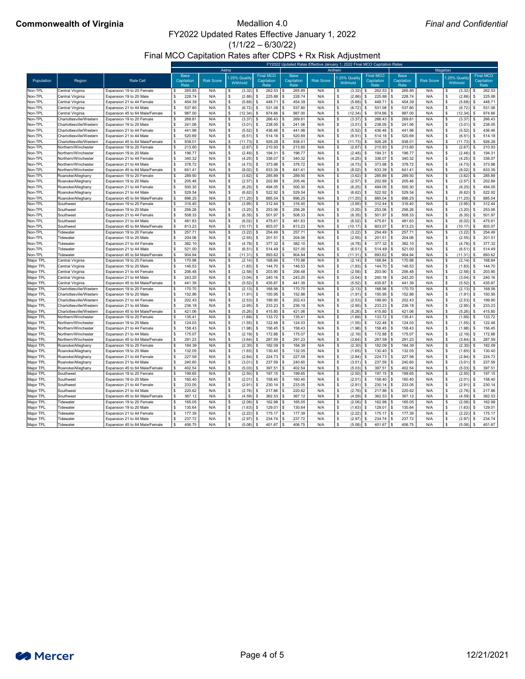$(1/1/22 - 6/30/22)$ 

Final MCO Capitation Rates after CDPS + Rx Risk Adjustment

## **Commonwealth of Virginia** Medallion 4.0

|                        |                                      |                                                             |                                          |                   |                          |                                        |                                   |                   |                          | FY2022 Updated Rates Effective January 1, 2022 Final MCO Capitation Rates |                                   |                   |                          |                                        |
|------------------------|--------------------------------------|-------------------------------------------------------------|------------------------------------------|-------------------|--------------------------|----------------------------------------|-----------------------------------|-------------------|--------------------------|---------------------------------------------------------------------------|-----------------------------------|-------------------|--------------------------|----------------------------------------|
|                        |                                      |                                                             |                                          |                   | Aetna                    |                                        |                                   |                   | Anthem                   |                                                                           |                                   |                   | Magellan                 |                                        |
| Population             | Region                               | <b>Rate Cell</b>                                            | <b>Base</b><br><b>Capitation</b><br>Rate | <b>Risk Score</b> | .25% Quality<br>Withhold | <b>Final MCO</b><br>Capitation<br>Rate | <b>Base</b><br>Capitation<br>Rate | <b>Risk Score</b> | .25% Quality<br>Withhold | <b>Final MCO</b><br>Capitation<br>Rate                                    | <b>Base</b><br>Capitation<br>Rate | <b>Risk Score</b> | .25% Quality<br>Withhold | <b>Final MCO</b><br>Capitation<br>Rate |
| Non-TPL                | Central Virginia                     | Expansion 19 to 20 Female                                   | 265.85                                   | N/A               | (3.32)                   | 262.53                                 | 265.85                            | N/A               | (3.32)                   | 262.53                                                                    | 265.85                            | N/A               | (3.32)                   | 262.53                                 |
| Non-TPL                | Central Virginia                     | Expansion 19 to 20 Male                                     | 228.74                                   | N/A               | (2.86)<br>\$             | 225.88<br>-96                          | 228.74                            | N/A               | $(2.86)$ \$              | 225.88                                                                    | 228.74                            | N/A               | (2.86)<br>-S             | 225.88                                 |
| Non-TPL                | Central Virginia                     | Expansion 21 to 44 Female                                   | 454.39                                   | N/A               | (5.68)                   | 448.71                                 | 454.39                            | N/A               | (5.68)                   | 448.71                                                                    | 454.39                            | N/A               | (5.68)                   | 448.71                                 |
| Non-TPL                | Central Virginia                     | Expansion 21 to 44 Male                                     | 537.80                                   | N/A               | (6.72)                   | 531.08                                 | 537.80                            | N/A               | (6.72)                   | 531.08                                                                    | 537.80                            | N/A               | (6.72)                   | 531.08                                 |
| Non-TPL                | Central Virginia                     | Expansion 45 to 64 Male/Female                              | 987.00                                   | N/A               | (12.34)                  | 974.66                                 | 987.00                            | N/A               | (12.34)                  | 974.66                                                                    | 987.00                            | N/A               | (12.34)                  | 974.66                                 |
| Non-TPL                | Charlottesville/Westerr              | Expansion 19 to 20 Female                                   | 269.81                                   | N/A               | (3.37)                   | 266.43                                 | 269.81                            | N/A               | (3.37)                   | 266.43                                                                    | 269.81                            | N/A               | (3.37)                   | 266.43                                 |
| Non-TPL                | Charlottesville/Western              | Expansion 19 to 20 Male                                     | 241.06                                   | N/A               | (3.01)                   | 238.05                                 | 241.06                            | N/A               | (3.01)                   | 238.05                                                                    | 241.06                            | N/A               | (3.01)                   | 238.05                                 |
| Non-TPL                | Charlottesville/Western              | Expansion 21 to 44 Female                                   | 441.98                                   | N/A               | (5.52)                   | 436.46                                 | 441.98                            | N/A               | (5.52)                   | 436.46                                                                    | 441.98                            | N/A               | (5.52)                   | 436.46                                 |
| Non-TPL                | Charlottesville/Western              | Expansion 21 to 44 Male                                     | 520.69                                   | N/A               | (6.51)                   | 514.18<br>.ድ                           | 520.69                            | N/A               | $(6.51)$ \$              | 514.18                                                                    | 520.69                            | N/A               | (6.51)                   | 514.18                                 |
| Non-TPL                | Charlottesville/Western              | Expansion 45 to 64 Male/Female                              | 938.01                                   | N/A               | (11.73)                  | 926.28<br>- \$                         | 938.01                            | N/A               | $(11.73)$ \$             | 926.28                                                                    | $938.0^{\circ}$                   | N/A               | (11.73)                  | 926.28<br>- \$                         |
| Non-TPL                | Northern/Winchester                  | Expansion 19 to 20 Female                                   | 213.60                                   | N/A               | (2.67)                   | 210.93                                 | 213.60                            | N/A               | $(2.67)$ \$              | 210.93                                                                    | 213.60                            | N/A               | (2.67)                   | 210.93                                 |
| Non-TPL                | Northern/Winchester                  | Expansion 19 to 20 Male                                     | 196.77                                   | N/A               | (2.46)<br>\$.            | 194.31                                 | 196.77                            | N/A               | (2.46)                   | 194.31                                                                    | 196.77                            | N/A               | (2.46)                   | 194.31                                 |
| Non-TPL                | Northern/Winchester                  | Expansion 21 to 44 Female                                   | 340.32                                   | N/A               | (4.25)                   | 336.07                                 | 340.32                            | N/A               | (4.25)                   | 336.07                                                                    | 340.32                            | N/A               | (4.25)                   | 336.07                                 |
| Non-TPL                | Northern/Winchester                  | Expansion 21 to 44 Male                                     | 378.72                                   | N/A               | (4.73)                   | 373.98                                 | 378.72                            | N/A               | (4.73)                   | 373.98                                                                    | 378.72                            | N/A               | (4.73)                   | 373.98                                 |
| Non-TPL                | Northern/Winchester                  | Expansion 45 to 64 Male/Female                              | 641.41                                   | N/A               | (8.02)                   | 633.39                                 | 641.41                            | N/A               | (8.02)                   | 633.39                                                                    | 641.41                            | N/A               | (8.02)                   | 633.39                                 |
| Non-TPL                | Roanoke/Alleghany                    | Expansion 19 to 20 Female                                   | 289.50                                   | N/A               | (3.62)                   | 285.89                                 | 289.50                            | N/A               | $(3.62)$ \$              | 285.89                                                                    | 289.50                            | N/A               | (3.62)                   | 285.89                                 |
| Non-TPL                | Roanoke/Alleghany                    | Expansion 19 to 20 Male                                     | 205.46                                   | N/A               | (2.57)                   | 202.89                                 | 205.46                            | N/A               | (2.57)                   | 202.89                                                                    | 205.46                            | N/A               | (2.57)                   | 202.89                                 |
| Non-TPL                | Roanoke/Alleghany                    | Expansion 21 to 44 Female                                   | 500.30                                   | N/A               | (6.25)                   | 494.05                                 | 500.30                            | N/A               | (6.25)                   | 494.05<br>$\mathcal{R}$                                                   | 500.30                            | N/A               | (6.25)                   | 494.05                                 |
| Non-TPL                | Roanoke/Alleghany                    | Expansion 21 to 44 Male                                     | 529.54                                   | N/A               | (6.62)                   | 522.92                                 | 529.54                            | N/A               | (6.62)                   | 522.92                                                                    | 529.54                            | N/A               | (6.62)                   | 522.92                                 |
| Non-TPL                | Roanoke/Alleghany                    | Expansion 45 to 64 Male/Female                              | 896.25                                   | N/A               | (11.20)                  | 885.04<br>- \$                         | 896.25                            | N/A               | $(11.20)$ \$             | 885.04                                                                    | 896.25                            | N/A               | (11.20)                  | 885.04                                 |
| Non-TPL                | Southwest                            | Expansion 19 to 20 Female                                   | 316.40                                   | N/A               | (3.95)                   | 312.44                                 | 316.40                            | N/A               | (3.95)                   | 312.44                                                                    | 316.40                            | N/A               | (3.95)                   | 312.44                                 |
| Non-TPL                | Southwest                            | Expansion 19 to 20 Male                                     | 256.26                                   | N/A               | (3.20)                   | 253.06                                 | 256.26                            | N/A               | (3.20)                   | 253.06                                                                    | 256.26                            | N/A               | (3.20)                   | 253.06                                 |
| Non-TPL                | Southwest                            | Expansion 21 to 44 Female                                   | 508.33                                   | N/A               | (6.35)                   | 501.97                                 | 508.33                            | N/A               | (6.35)                   | 501.97                                                                    | 508.33                            | N/A               | (6.35)                   | 501.97                                 |
| Non-TPL                | Southwest                            | Expansion 21 to 44 Male                                     | 481.63                                   | N/A               | (6.02)                   | 475.61                                 | 481.63                            | N/A               | (6.02)                   | 475.61                                                                    | 481.63                            | N/A               | (6.02)                   | 475.61                                 |
| Non-TPL                | Southwest                            | Expansion 45 to 64 Male/Female                              | 813.23                                   | N/A               | (10.17)                  | 803.07                                 | 813.23                            | N/A               | (10.17)                  | 803.07                                                                    | 813.23                            | N/A               | (10.17)                  | 803.07                                 |
| Non-TPL                | Tidewater                            | Expansion 19 to 20 Female                                   | 257.71                                   | N/A               | (3.22)                   | 254.49                                 | 257.71                            | N/A               | $(3.22)$ \$              | 254.49                                                                    | 257.71                            | N/A               | (3.22)                   | 254.49                                 |
| Non-TPL                | Tidewater                            | Expansion 19 to 20 Male                                     | 204.06                                   |                   | (2.55)                   | 201.51                                 | 204.06                            | N/A               | (2.55)                   | 201.51                                                                    | 204.06                            | N/A               | (2.55)                   | 201.51                                 |
| Non-TPL                | Tidewater                            | Expansion 21 to 44 Female                                   | 382.10                                   | N/A               | (4.78)                   | 377.32<br>-\$                          | 382.10                            | N/A               | (4.78)                   | 377.32<br>∣ \$                                                            | 382.10                            | N/A               | (4.78)                   | 377.32                                 |
| Non-TPL                | Tidewater                            | Expansion 21 to 44 Male                                     | 521.00                                   | N/A               | (6.51)                   | 514.49<br>-\$                          | 521.00                            | N/A               | (6.51)                   | 514.49                                                                    | 521.00                            | N/A               | (6.51)                   | 514.49                                 |
| Non-TPL                | Tidewater<br>Central Virginia        | Expansion 45 to 64 Male/Female<br>Expansion 19 to 20 Female | 904.94<br>170.98                         | N/A<br>N/A        | (11.31)<br>(2.14)        | 893.62<br>168.84                       | 904.94<br>170.98                  | N/A               | (11.31)                  | 893.62<br>168.84                                                          | 904.94<br>170.98                  | N/A<br>N/A        | (11.31)<br>(2.14)        | 893.62<br>168.84                       |
| Major TPL              |                                      | Expansion 19 to 20 Male                                     |                                          |                   |                          | 144.70                                 |                                   | N/A               | (2.14)                   | 144.70                                                                    |                                   |                   |                          |                                        |
| Major TPL              | Central Virginia<br>Central Virginia | Expansion 21 to 44 Female                                   | 146.53<br>206.48                         | N/A<br>N/A        | (1.83)                   | 203.90                                 | 146.53<br>206.48                  | N/A<br>N/A        | (1.83)                   | 203.90                                                                    | 146.53<br>206.48                  | N/A<br>N/A        | (1.83)                   | 144.70<br>203.90                       |
| Major TPL              |                                      | Expansion 21 to 44 Male                                     | 243.20                                   | N/A               | (2.58)                   | 240.16                                 | 243.20                            | N/A               | (2.58)<br>(3.04)         | 240.16<br>. ድ                                                             | 243.20                            | N/A               | (2.58)                   | 240.16                                 |
| Major TPL              | Central Virginia<br>Central Virginia | Expansion 45 to 64 Male/Female                              | 441.39                                   | N/A               | (3.04)<br>(5.52)         | 435.87                                 | 441.39                            | N/A               | (5.52)                   | 435.87                                                                    | 441.39                            | N/A               | (3.04)<br>(5.52)         | 435.87                                 |
| Major TPL<br>Major TPL | Charlottesville/Westerr              | Expansion 19 to 20 Female                                   | 170.70                                   | N/A               | (2.13)                   | 168.56                                 | 170.70                            | N/A               | $(2.13)$ \$              | 168.56                                                                    | 170.70                            | N/A               |                          | (2.13)<br>168.56                       |
| Major TPL              | Charlottesville/Western              | Expansion 19 to 20 Male                                     | 152.86                                   | N/A               | (1.91)                   | 150.95                                 | 152.86                            | N/A               | (1.91)                   | 150.95<br>∣ \$                                                            | 152.86                            | N/A               | (1.91)                   | 150.95                                 |
| Major TPL              | Charlottesville/Western              | Expansion 21 to 44 Female                                   | 202.43                                   | N/A               | (2.53)                   | 199.90                                 | 202.43                            | N/A               | $(2.53)$ \$              | 199.90                                                                    | 202.43                            | N/A               |                          | (2.53)<br>199.90                       |
| Major TPL              | Charlottesville/Western              | Expansion 21 to 44 Male                                     | 236.18                                   | N/A               | (2.95)                   | 233.23                                 | 236.18                            | N/A               | (2.95)                   | 233.23                                                                    | 236.18                            | N/A               | (2.95)                   | 233.23                                 |
| Major TPL              | Charlottesville/Western              | Expansion 45 to 64 Male/Female                              | 421.06                                   | N/A               | (5.26)                   | 415.80                                 | 421.06                            | N/A               | (5.26)                   | 415.80                                                                    | 421.06                            | N/A               | (5.26)                   | 415.80                                 |
| Major TPL              | Northern/Winchester                  | Expansion 19 to 20 Female                                   | 135.41                                   | N/A               | (1.69)                   | 133.72                                 | 135.41                            | N/A               | (1.69)                   | 133.72                                                                    | 135.41                            | N/A               | (1.69)                   | 133.72                                 |
| Major TPL              | Northern/Winchester                  | Expansion 19 to 20 Male                                     | 124.03                                   | N/A               | (1.55)                   | 122.48                                 | 124.03                            | N/A               | (1.55)                   | 122.48                                                                    | 124.03                            | N/A               | (1.55)                   | 122.48                                 |
| Major TPL              | Northern/Winchester                  | Expansion 21 to 44 Female                                   | 158.43                                   | N/A               | (1.98)                   | 156.45                                 | 158.43                            | N/A               | (1.98)                   | 156.45                                                                    | 158.43                            | N/A               | (1.98)                   | 156.45                                 |
| Major TPL              | Northern/Winchester                  | Expansion 21 to 44 Male                                     | 175.07                                   | N/A               | (2.19)                   | 172.88                                 | 175.07                            | N/A               | (2.19)                   | 172.88                                                                    | 175.07                            | N/A               | (2.19)                   | 172.88                                 |
| Major TPL              | Northern/Winchester                  | Expansion 45 to 64 Male/Female                              | 291.23                                   | N/A               | (3.64)                   | 287.59                                 | 291.23                            | N/A               | $(3.64)$ \$              | 287.59                                                                    | 291.23                            | N/A               | (3.64)                   | 287.59                                 |
| Major TPL              | Roanoke/Alleghany                    | Expansion 19 to 20 Female                                   | 184.39                                   | N/A               | (2.30)                   | 182.09                                 | 184.39                            | N/A               | $(2.30)$ \$              | 182.09                                                                    | 184.39                            | N/A               | (2.30)                   | 182.09                                 |
| Major TPL              | Roanoke/Alleghany                    | Expansion 19 to 20 Male                                     | 132.05                                   | N/A               | (1.65)                   | 130.40                                 | 132.05                            | N/A               | $(1.65)$ \$              | 130.40                                                                    | 132.05                            | N/A               |                          | (1.65)<br>130.40                       |
| Major TPL              | Roanoke/Alleghany                    | Expansion 21 to 44 Female                                   | 227.58                                   | N/A               | (2.84)                   | 224.73                                 | 227.58                            | N/A               | (2.84)                   | 224.73                                                                    | 227.58                            | N/A               | (2.84)                   | 224.73                                 |
| Major TPL              | Roanoke/Alleghany                    | Expansion 21 to 44 Male                                     | 240.60                                   | N/A               | (3.01)                   | 237.59                                 | 240.60                            | N/A               | (3.01)                   | 237.59                                                                    | 240.60                            | N/A               | (3.01)                   | 237.59                                 |
| Major TPL              | Roanoke/Alleghany                    | Expansion 45 to 64 Male/Female                              | 402.54                                   | N/A               | (5.03)                   | 397.51                                 | 402.54                            | N/A               | (5.03)                   | 397.51                                                                    | 402.54                            | N/A               | (5.03)                   | 397.51                                 |
| Major TPL              | Southwest                            | Expansion 19 to 20 Female                                   | 199.65                                   | N/A               | (2.50)                   | 197.15                                 | 199.65                            | N/A               | (2.50)                   | 197.15                                                                    | 199.65                            | N/A               | (2.50)                   | 197.15                                 |
| Major TPL              | Southwest                            | Expansion 19 to 20 Male                                     | 160.40                                   | N/A               | (2.01)                   | 158.40                                 | 160.40                            | N/A               | (2.01)                   | 158.40                                                                    | 160.40                            | N/A               | (2.01)                   | 158.40                                 |
| Major TPL              | <b>Southwest</b>                     | Expansion 21 to 44 Female                                   | 233.05                                   | N/A               | (2.91)                   | 230.14                                 | 233.05                            | N/A               | (2.91)                   | 230.14                                                                    | 233.05                            | N/A               | (2.91)                   | 230.14                                 |
| Major TPL              | Southwest                            | Expansion 21 to 44 Male                                     | 220.62                                   | N/A               | (2.76)                   | 217.86                                 | 220.62                            | N/A               | (2.76)                   | 217.86<br>∣ \$                                                            | 220.62                            | N/A               | (2.76)                   | 217.86                                 |
| Major TPL              | Southwest                            | Expansion 45 to 64 Male/Female                              | 367.12                                   | N/A               | (4.59)                   | 362.53<br>- \$                         | 367.12                            | N/A               | $(4.59)$ \$              | 362.53                                                                    | 367.12                            | N/A               | (4.59)                   | 362.53<br>- \$                         |
| Major TPL              | Tidewater                            | Expansion 19 to 20 Female                                   | 165.05                                   | N/A               | (2.06)                   | 162.98                                 | 165.05                            | N/A               | $(2.06)$ \$              | 162.98                                                                    | 165.05                            | N/A               | (2.06)                   | 162.98                                 |
| Major TPL              | Tidewater                            | Expansion 19 to 20 Male                                     | 130.64                                   |                   | (1.63)                   | 129.01<br>-\$                          | 130.64                            | N/A               | (1.63)                   | 129.01<br>$\mathcal{R}$                                                   | 130.64                            |                   |                          | (1.63)<br>129.01                       |
| Major TPL              | Tidewater                            | Expansion 21 to 44 Female                                   | 177.39                                   | N/A               | (2.22)                   | $175.17$ \\$<br>- \$                   | 177.39                            | N/A               | $(2.22)$ \$              | 175.17                                                                    | 177.39                            | N/A               | (2.22)                   | 175.17                                 |
| Major TPL              | Tidewater                            | Expansion 21 to 44 Male                                     | 237.72                                   | N/A               | (2.97)                   | 234.74                                 | 237.72                            | N/A               | (2.97)                   | 234.74                                                                    | 237.72<br>- S                     | N/A               | (2.97)                   | 234.74                                 |
| Major TPL              | Tidewater                            | Expansion 45 to 64 Male/Female                              | 406.75                                   | N/A               | $(5.08)$ \$              | $401.67$ \$                            | 406.75                            | N/A               | $(5.08)$ \$              | $401.67$ \$                                                               | 406.75                            | N/A               |                          | $(5.08)$ \$<br>401.67                  |